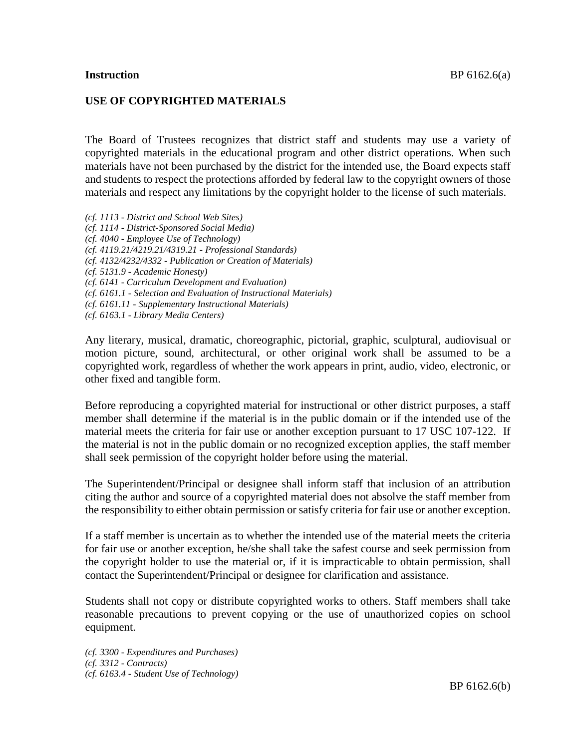#### **USE OF COPYRIGHTED MATERIALS**

The Board of Trustees recognizes that district staff and students may use a variety of copyrighted materials in the educational program and other district operations. When such materials have not been purchased by the district for the intended use, the Board expects staff and students to respect the protections afforded by federal law to the copyright owners of those materials and respect any limitations by the copyright holder to the license of such materials.

- *(cf. 1113 - District and School Web Sites)*
- *(cf. 1114 - District-Sponsored Social Media)*
- *(cf. 4040 - Employee Use of Technology)*
- *(cf. 4119.21/4219.21/4319.21 - Professional Standards)*
- *(cf. 4132/4232/4332 - Publication or Creation of Materials)*
- *(cf. 5131.9 - Academic Honesty)*

*(cf. 6141 - Curriculum Development and Evaluation)*

- *(cf. 6161.1 - Selection and Evaluation of Instructional Materials)*
- *(cf. 6161.11 - Supplementary Instructional Materials)*

*(cf. 6163.1 - Library Media Centers)*

Any literary, musical, dramatic, choreographic, pictorial, graphic, sculptural, audiovisual or motion picture, sound, architectural, or other original work shall be assumed to be a copyrighted work, regardless of whether the work appears in print, audio, video, electronic, or other fixed and tangible form.

Before reproducing a copyrighted material for instructional or other district purposes, a staff member shall determine if the material is in the public domain or if the intended use of the material meets the criteria for fair use or another exception pursuant to 17 USC 107-122. If the material is not in the public domain or no recognized exception applies, the staff member shall seek permission of the copyright holder before using the material.

The Superintendent/Principal or designee shall inform staff that inclusion of an attribution citing the author and source of a copyrighted material does not absolve the staff member from the responsibility to either obtain permission or satisfy criteria for fair use or another exception.

If a staff member is uncertain as to whether the intended use of the material meets the criteria for fair use or another exception, he/she shall take the safest course and seek permission from the copyright holder to use the material or, if it is impracticable to obtain permission, shall contact the Superintendent/Principal or designee for clarification and assistance.

Students shall not copy or distribute copyrighted works to others. Staff members shall take reasonable precautions to prevent copying or the use of unauthorized copies on school equipment.

*(cf. 3300 - Expenditures and Purchases) (cf. 3312 - Contracts) (cf. 6163.4 - Student Use of Technology)*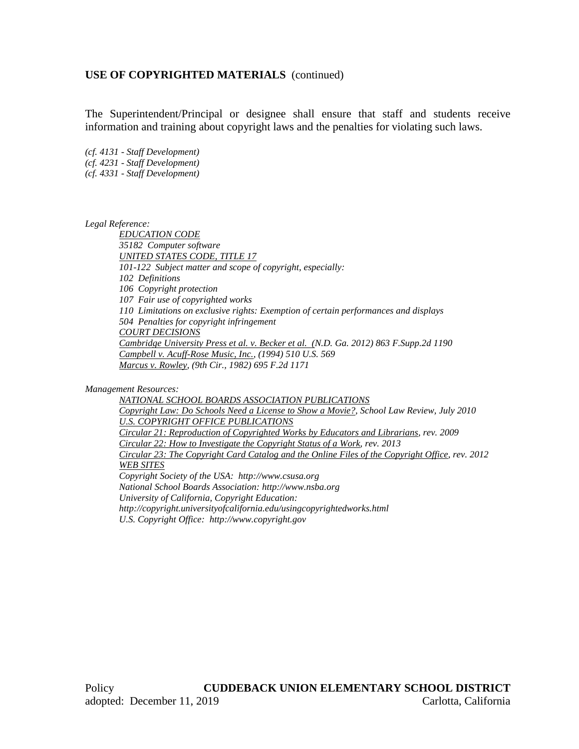The Superintendent/Principal or designee shall ensure that staff and students receive information and training about copyright laws and the penalties for violating such laws.

*(cf. 4131 - Staff Development) (cf. 4231 - Staff Development) (cf. 4331 - Staff Development)*

*Legal Reference:*

*EDUCATION CODE 35182 Computer software UNITED STATES CODE, TITLE 17 101-122 Subject matter and scope of copyright, especially: 102 Definitions 106 Copyright protection 107 Fair use of copyrighted works 110 Limitations on exclusive rights: Exemption of certain performances and displays 504 Penalties for copyright infringement COURT DECISIONS Cambridge University Press et al. v. Becker et al. (N.D. Ga. 2012) 863 F.Supp.2d 1190 Campbell v. Acuff-Rose Music, Inc., (1994) 510 U.S. 569 Marcus v. Rowley, (9th Cir., 1982) 695 F.2d 1171*

*Management Resources:*

*NATIONAL SCHOOL BOARDS ASSOCIATION PUBLICATIONS Copyright Law: Do Schools Need a License to Show a Movie?, School Law Review, July 2010 U.S. COPYRIGHT OFFICE PUBLICATIONS Circular 21: Reproduction of Copyrighted Works by Educators and Librarians, rev. 2009 Circular 22: How to Investigate the Copyright Status of a Work, rev. 2013 Circular 23: The Copyright Card Catalog and the Online Files of the Copyright Office, rev. 2012 WEB SITES Copyright Society of the USA: http://www.csusa.org National School Boards Association: http://www.nsba.org University of California, Copyright Education: http://copyright.universityofcalifornia.edu/usingcopyrightedworks.html U.S. Copyright Office: http://www.copyright.gov*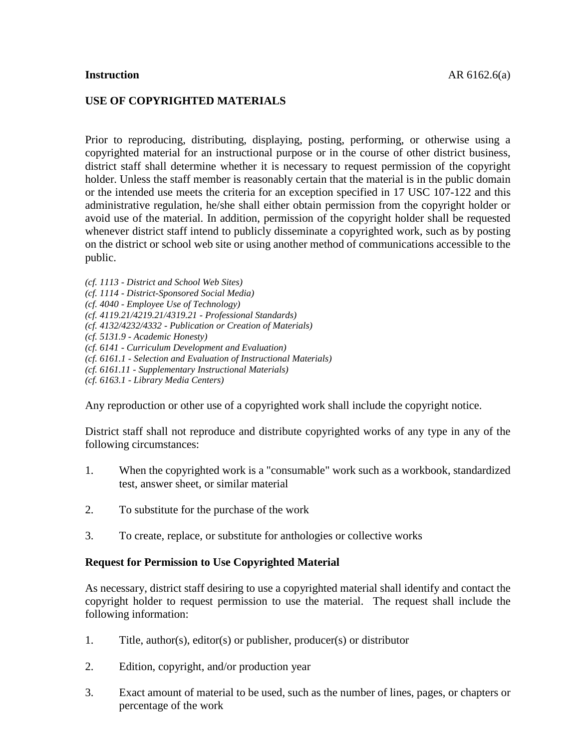#### **USE OF COPYRIGHTED MATERIALS**

Prior to reproducing, distributing, displaying, posting, performing, or otherwise using a copyrighted material for an instructional purpose or in the course of other district business, district staff shall determine whether it is necessary to request permission of the copyright holder. Unless the staff member is reasonably certain that the material is in the public domain or the intended use meets the criteria for an exception specified in 17 USC 107-122 and this administrative regulation, he/she shall either obtain permission from the copyright holder or avoid use of the material. In addition, permission of the copyright holder shall be requested whenever district staff intend to publicly disseminate a copyrighted work, such as by posting on the district or school web site or using another method of communications accessible to the public.

- *(cf. 1113 - District and School Web Sites)*
- *(cf. 1114 - District-Sponsored Social Media)*
- *(cf. 4040 - Employee Use of Technology)*
- *(cf. 4119.21/4219.21/4319.21 - Professional Standards)*
- *(cf. 4132/4232/4332 - Publication or Creation of Materials)*
- *(cf. 5131.9 - Academic Honesty)*
- *(cf. 6141 - Curriculum Development and Evaluation)*
- *(cf. 6161.1 - Selection and Evaluation of Instructional Materials)*
- *(cf. 6161.11 - Supplementary Instructional Materials)*
- *(cf. 6163.1 - Library Media Centers)*

Any reproduction or other use of a copyrighted work shall include the copyright notice.

District staff shall not reproduce and distribute copyrighted works of any type in any of the following circumstances:

- 1. When the copyrighted work is a "consumable" work such as a workbook, standardized test, answer sheet, or similar material
- 2. To substitute for the purchase of the work
- 3. To create, replace, or substitute for anthologies or collective works

#### **Request for Permission to Use Copyrighted Material**

As necessary, district staff desiring to use a copyrighted material shall identify and contact the copyright holder to request permission to use the material. The request shall include the following information:

- 1. Title, author(s), editor(s) or publisher, producer(s) or distributor
- 2. Edition, copyright, and/or production year
- 3. Exact amount of material to be used, such as the number of lines, pages, or chapters or percentage of the work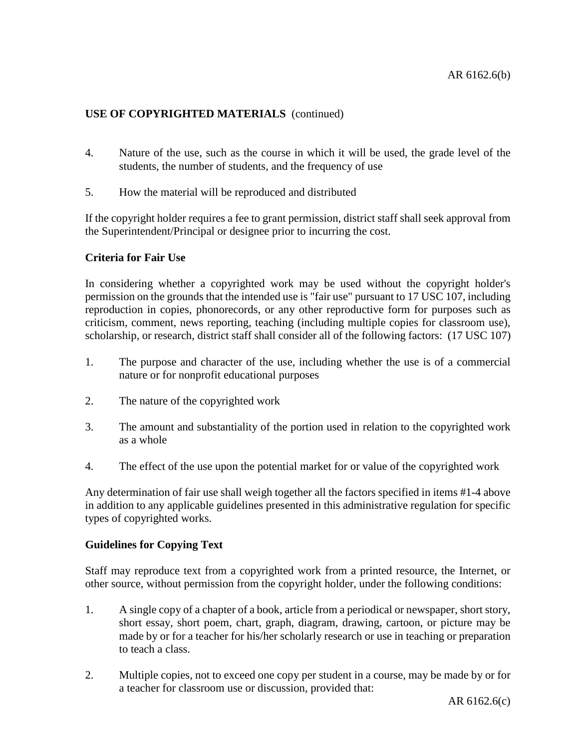- 4. Nature of the use, such as the course in which it will be used, the grade level of the students, the number of students, and the frequency of use
- 5. How the material will be reproduced and distributed

If the copyright holder requires a fee to grant permission, district staff shall seek approval from the Superintendent/Principal or designee prior to incurring the cost.

### **Criteria for Fair Use**

In considering whether a copyrighted work may be used without the copyright holder's permission on the grounds that the intended use is "fair use" pursuant to 17 USC 107, including reproduction in copies, phonorecords, or any other reproductive form for purposes such as criticism, comment, news reporting, teaching (including multiple copies for classroom use), scholarship, or research, district staff shall consider all of the following factors: (17 USC 107)

- 1. The purpose and character of the use, including whether the use is of a commercial nature or for nonprofit educational purposes
- 2. The nature of the copyrighted work
- 3. The amount and substantiality of the portion used in relation to the copyrighted work as a whole
- 4. The effect of the use upon the potential market for or value of the copyrighted work

Any determination of fair use shall weigh together all the factors specified in items #1-4 above in addition to any applicable guidelines presented in this administrative regulation for specific types of copyrighted works.

#### **Guidelines for Copying Text**

Staff may reproduce text from a copyrighted work from a printed resource, the Internet, or other source, without permission from the copyright holder, under the following conditions:

- 1. A single copy of a chapter of a book, article from a periodical or newspaper, short story, short essay, short poem, chart, graph, diagram, drawing, cartoon, or picture may be made by or for a teacher for his/her scholarly research or use in teaching or preparation to teach a class.
- 2. Multiple copies, not to exceed one copy per student in a course, may be made by or for a teacher for classroom use or discussion, provided that: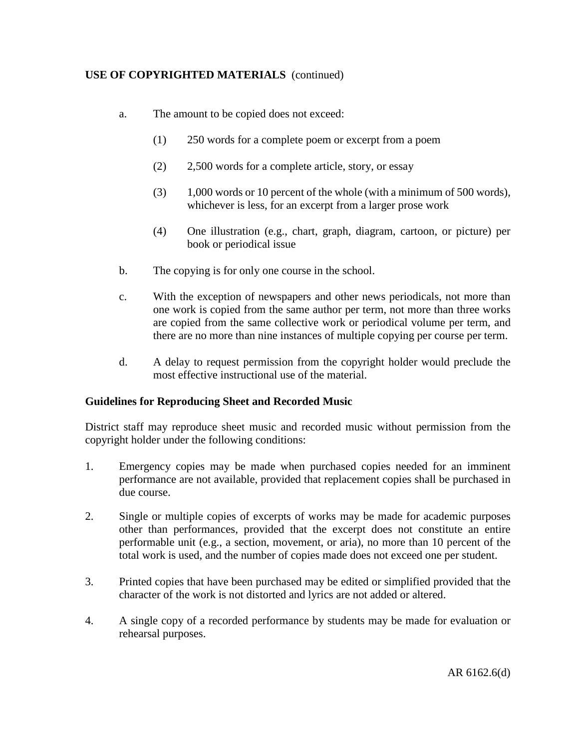- a. The amount to be copied does not exceed:
	- (1) 250 words for a complete poem or excerpt from a poem
	- (2) 2,500 words for a complete article, story, or essay
	- (3) 1,000 words or 10 percent of the whole (with a minimum of 500 words), whichever is less, for an excerpt from a larger prose work
	- (4) One illustration (e.g., chart, graph, diagram, cartoon, or picture) per book or periodical issue
- b. The copying is for only one course in the school.
- c. With the exception of newspapers and other news periodicals, not more than one work is copied from the same author per term, not more than three works are copied from the same collective work or periodical volume per term, and there are no more than nine instances of multiple copying per course per term.
- d. A delay to request permission from the copyright holder would preclude the most effective instructional use of the material.

## **Guidelines for Reproducing Sheet and Recorded Music**

District staff may reproduce sheet music and recorded music without permission from the copyright holder under the following conditions:

- 1. Emergency copies may be made when purchased copies needed for an imminent performance are not available, provided that replacement copies shall be purchased in due course.
- 2. Single or multiple copies of excerpts of works may be made for academic purposes other than performances, provided that the excerpt does not constitute an entire performable unit (e.g., a section, movement, or aria), no more than 10 percent of the total work is used, and the number of copies made does not exceed one per student.
- 3. Printed copies that have been purchased may be edited or simplified provided that the character of the work is not distorted and lyrics are not added or altered.
- 4. A single copy of a recorded performance by students may be made for evaluation or rehearsal purposes.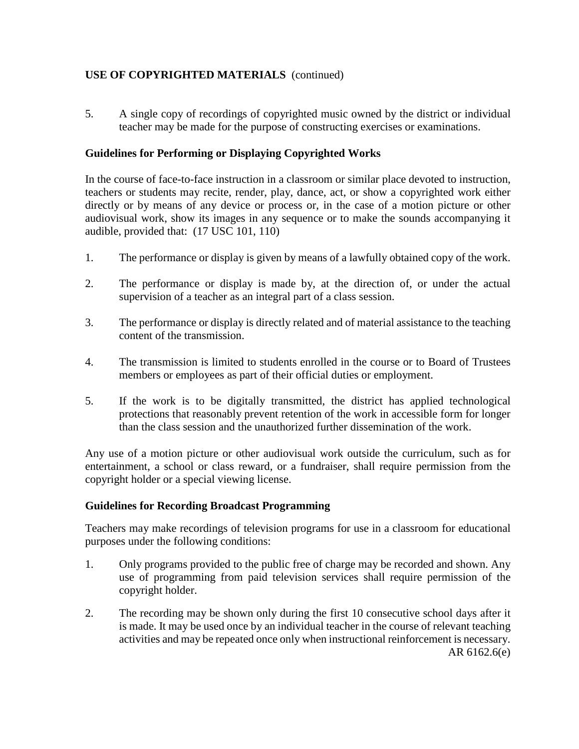5. A single copy of recordings of copyrighted music owned by the district or individual teacher may be made for the purpose of constructing exercises or examinations.

## **Guidelines for Performing or Displaying Copyrighted Works**

In the course of face-to-face instruction in a classroom or similar place devoted to instruction, teachers or students may recite, render, play, dance, act, or show a copyrighted work either directly or by means of any device or process or, in the case of a motion picture or other audiovisual work, show its images in any sequence or to make the sounds accompanying it audible, provided that: (17 USC 101, 110)

- 1. The performance or display is given by means of a lawfully obtained copy of the work.
- 2. The performance or display is made by, at the direction of, or under the actual supervision of a teacher as an integral part of a class session.
- 3. The performance or display is directly related and of material assistance to the teaching content of the transmission.
- 4. The transmission is limited to students enrolled in the course or to Board of Trustees members or employees as part of their official duties or employment.
- 5. If the work is to be digitally transmitted, the district has applied technological protections that reasonably prevent retention of the work in accessible form for longer than the class session and the unauthorized further dissemination of the work.

Any use of a motion picture or other audiovisual work outside the curriculum, such as for entertainment, a school or class reward, or a fundraiser, shall require permission from the copyright holder or a special viewing license.

## **Guidelines for Recording Broadcast Programming**

Teachers may make recordings of television programs for use in a classroom for educational purposes under the following conditions:

- 1. Only programs provided to the public free of charge may be recorded and shown. Any use of programming from paid television services shall require permission of the copyright holder.
- 2. The recording may be shown only during the first 10 consecutive school days after it is made. It may be used once by an individual teacher in the course of relevant teaching activities and may be repeated once only when instructional reinforcement is necessary. AR 6162.6(e)